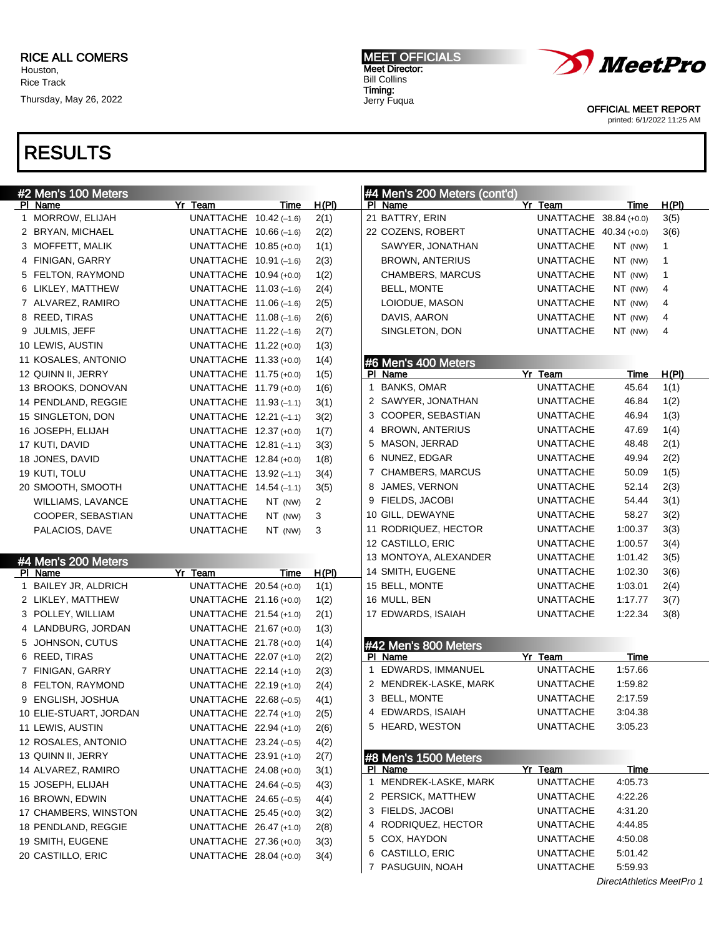# RESULTS

| #2 Men's 100 Meters    |                          |         |              |   | #4 Men's 200 Meters (cont'd) |                        |                           |       |
|------------------------|--------------------------|---------|--------------|---|------------------------------|------------------------|---------------------------|-------|
| PI Name                | Yr Team                  | Time    | <u>H(PI)</u> |   | PI Name                      | Yr Team                | Time                      | H(PI) |
| 1 MORROW, ELIJAH       | UNATTACHE 10.42 (-1.6)   |         | 2(1)         |   | 21 BATTRY, ERIN              | UNATTACHE 38.84 (+0.0) |                           | 3(5)  |
| 2 BRYAN, MICHAEL       | UNATTACHE $10.66(-1.6)$  |         | 2(2)         |   | 22 COZENS, ROBERT            | UNATTACHE 40.34 (+0.0) |                           | 3(6)  |
| 3 MOFFETT, MALIK       | UNATTACHE 10.85 (+0.0)   |         | 1(1)         |   | SAWYER, JONATHAN             | UNATTACHE              | NT (NW)                   | 1     |
| 4 FINIGAN, GARRY       | UNATTACHE $10.91(-1.6)$  |         | 2(3)         |   | <b>BROWN, ANTERIUS</b>       | UNATTACHE              | NT (NW)                   | 1     |
| 5 FELTON, RAYMOND      | UNATTACHE 10.94 (+0.0)   |         | 1(2)         |   | CHAMBERS, MARCUS             | UNATTACHE              | NT (NW)                   | 1     |
| 6 LIKLEY, MATTHEW      | UNATTACHE $11.03$ (-1.6) |         | 2(4)         |   | <b>BELL, MONTE</b>           | UNATTACHE              | NT (NW)                   | 4     |
| 7 ALVAREZ, RAMIRO      | UNATTACHE $11.06(-1.6)$  |         | 2(5)         |   | LOIODUE, MASON               | UNATTACHE              | NT (NW)                   | 4     |
| 8 REED, TIRAS          | UNATTACHE $11.08(-1.6)$  |         | 2(6)         |   | DAVIS, AARON                 | UNATTACHE              | NT (NW)                   | 4     |
| 9 JULMIS, JEFF         | UNATTACHE $11.22$ (-1.6) |         | 2(7)         |   | SINGLETON, DON               | UNATTACHE              | NT (NW)                   | 4     |
| 10 LEWIS, AUSTIN       | UNATTACHE 11.22 (+0.0)   |         | 1(3)         |   |                              |                        |                           |       |
| 11 KOSALES, ANTONIO    | UNATTACHE 11.33 (+0.0)   |         | 1(4)         |   | #6 Men's 400 Meters          |                        |                           |       |
| 12 QUINN II, JERRY     | UNATTACHE 11.75 (+0.0)   |         | 1(5)         |   | PI Name                      | Yr Team                | Time                      | H(PI) |
| 13 BROOKS, DONOVAN     | UNATTACHE 11.79 (+0.0)   |         | 1(6)         | 1 | <b>BANKS, OMAR</b>           | <b>UNATTACHE</b>       | 45.64                     | 1(1)  |
| 14 PENDLAND, REGGIE    | UNATTACHE $11.93(-1.1)$  |         | 3(1)         |   | 2 SAWYER, JONATHAN           | UNATTACHE              | 46.84                     | 1(2)  |
| 15 SINGLETON, DON      | UNATTACHE 12.21 (-1.1)   |         | 3(2)         |   | 3 COOPER, SEBASTIAN          | UNATTACHE              | 46.94                     | 1(3)  |
| 16 JOSEPH, ELIJAH      | UNATTACHE 12.37 (+0.0)   |         | 1(7)         |   | 4 BROWN, ANTERIUS            | UNATTACHE              | 47.69                     | 1(4)  |
| 17 KUTI, DAVID         | UNATTACHE $12.81(-1.1)$  |         | 3(3)         |   | 5 MASON, JERRAD              | UNATTACHE              | 48.48                     | 2(1)  |
| 18 JONES, DAVID        | UNATTACHE 12.84 (+0.0)   |         | 1(8)         |   | 6 NUNEZ, EDGAR               | UNATTACHE              | 49.94                     | 2(2)  |
| 19 KUTI, TOLU          | UNATTACHE $13.92(-1.1)$  |         | 3(4)         |   | 7 CHAMBERS, MARCUS           | UNATTACHE              | 50.09                     | 1(5)  |
| 20 SMOOTH, SMOOTH      | UNATTACHE $14.54 (-1.1)$ |         | 3(5)         |   | 8 JAMES, VERNON              | UNATTACHE              | 52.14                     | 2(3)  |
| WILLIAMS, LAVANCE      | <b>UNATTACHE</b>         | NT (NW) | 2            |   | 9 FIELDS, JACOBI             | UNATTACHE              | 54.44                     | 3(1)  |
| COOPER, SEBASTIAN      | <b>UNATTACHE</b>         | NT (NW) | 3            |   | 10 GILL, DEWAYNE             | UNATTACHE              | 58.27                     | 3(2)  |
| PALACIOS, DAVE         | <b>UNATTACHE</b>         | NT (NW) | 3            |   | 11 RODRIQUEZ, HECTOR         | UNATTACHE              | 1:00.37                   | 3(3)  |
|                        |                          |         |              |   | 12 CASTILLO, ERIC            | UNATTACHE              | 1:00.57                   | 3(4)  |
| #4 Men's 200 Meters    |                          |         |              |   | 13 MONTOYA, ALEXANDER        | UNATTACHE              | 1:01.42                   | 3(5)  |
| PI Name                | Yr Team                  | Time    | H(PI)        |   | 14 SMITH, EUGENE             | UNATTACHE              | 1:02.30                   | 3(6)  |
| 1 BAILEY JR, ALDRICH   | UNATTACHE 20.54 (+0.0)   |         | 1(1)         |   | 15 BELL, MONTE               | UNATTACHE              | 1:03.01                   | 2(4)  |
| 2 LIKLEY, MATTHEW      | UNATTACHE 21.16 (+0.0)   |         | 1(2)         |   | 16 MULL, BEN                 | UNATTACHE              | 1:17.77                   | 3(7)  |
| 3 POLLEY, WILLIAM      | UNATTACHE 21.54 (+1.0)   |         | 2(1)         |   | 17 EDWARDS, ISAIAH           | UNATTACHE              | 1:22.34                   | 3(8)  |
| 4 LANDBURG, JORDAN     | UNATTACHE 21.67 (+0.0)   |         | 1(3)         |   |                              |                        |                           |       |
| 5 JOHNSON, CUTUS       | UNATTACHE 21.78 (+0.0)   |         | 1(4)         |   | #42 Men's 800 Meters         |                        |                           |       |
| 6 REED, TIRAS          | UNATTACHE 22.07 (+1.0)   |         | 2(2)         |   | PI Name                      | Yr Team                | Time                      |       |
| 7 FINIGAN, GARRY       | UNATTACHE 22.14 (+1.0)   |         | 2(3)         |   | 1 EDWARDS, IMMANUEL          | <b>UNATTACHE</b>       | 1:57.66                   |       |
| 8 FELTON, RAYMOND      | UNATTACHE 22.19 (+1.0)   |         | 2(4)         |   | 2 MENDREK-LASKE, MARK        | <b>UNATTACHE</b>       | 1:59.82                   |       |
| 9 ENGLISH, JOSHUA      | UNATTACHE 22.68 (-0.5)   |         | 4(1)         |   | 3 BELL, MONTE                | UNATTACHE              | 2:17.59                   |       |
| 10 ELIE-STUART, JORDAN | UNATTACHE 22.74 (+1.0)   |         | 2(5)         |   | 4 EDWARDS, ISAIAH            | <b>UNATTACHE</b>       | 3:04.38                   |       |
| 11 LEWIS, AUSTIN       | UNATTACHE 22.94 (+1.0)   |         | 2(6)         |   | 5 HEARD, WESTON              | UNATTACHE              | 3:05.23                   |       |
| 12 ROSALES, ANTONIO    | UNATTACHE $23.24 (-0.5)$ |         | 4(2)         |   |                              |                        |                           |       |
| 13 QUINN II, JERRY     | UNATTACHE 23.91 (+1.0)   |         | 2(7)         |   | #8 Men's 1500 Meters         |                        |                           |       |
| 14 ALVAREZ, RAMIRO     | UNATTACHE 24.08 (+0.0)   |         | 3(1)         |   | PI Name                      | Yr Team                | Time                      |       |
| 15 JOSEPH, ELIJAH      | UNATTACHE $24.64 (-0.5)$ |         | 4(3)         |   | 1 MENDREK-LASKE, MARK        | <b>UNATTACHE</b>       | 4:05.73                   |       |
| 16 BROWN, EDWIN        | UNATTACHE $24.65(-0.5)$  |         | 4(4)         |   | 2 PERSICK, MATTHEW           | <b>UNATTACHE</b>       | 4:22.26                   |       |
| 17 CHAMBERS, WINSTON   | UNATTACHE 25.45 (+0.0)   |         | 3(2)         |   | 3 FIELDS, JACOBI             | UNATTACHE              | 4:31.20                   |       |
| 18 PENDLAND, REGGIE    | UNATTACHE 26.47 (+1.0)   |         | 2(8)         |   | 4 RODRIQUEZ, HECTOR          | <b>UNATTACHE</b>       | 4:44.85                   |       |
| 19 SMITH, EUGENE       | UNATTACHE 27.36 (+0.0)   |         | 3(3)         |   | 5 COX, HAYDON                | <b>UNATTACHE</b>       | 4:50.08                   |       |
| 20 CASTILLO, ERIC      | UNATTACHE 28.04 (+0.0)   |         | 3(4)         |   | 6 CASTILLO, ERIC             | <b>UNATTACHE</b>       | 5:01.42                   |       |
|                        |                          |         |              |   | 7 PASUGUIN, NOAH             | UNATTACHE              | 5:59.93                   |       |
|                        |                          |         |              |   |                              |                        | DirectAthletics MeetPro 1 |       |

*MeetPro* 

OFFICIAL MEET REPORT printed: 6/1/2022 11:25 AM

MEET OFFICIALS Meet Director: Bill Collins Timing: Jerry Fuqua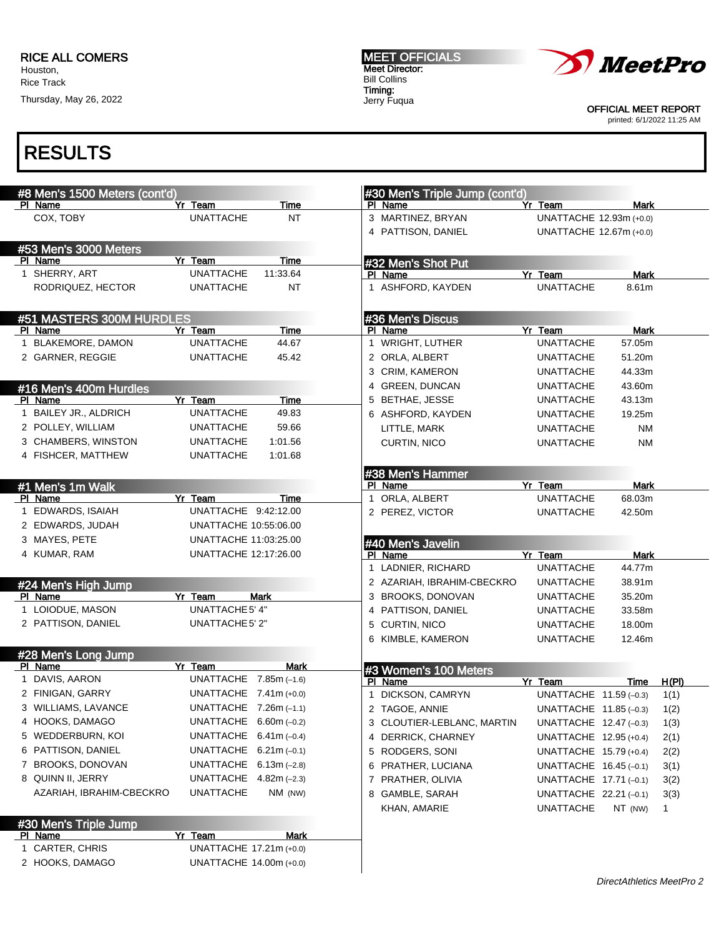Thursday, May 26, 2022

#### MEET OFFICIALS Meet Director: Bill Collins Timing: Jerry Fuqua



OFFICIAL MEET REPORT

printed: 6/1/2022 11:25 AM

### RESULTS

| #8 Men's 1500 Meters (cont'd)      |                                                    |               | #30 Men's Triple Jump (cont'd) |                             |                       |       |
|------------------------------------|----------------------------------------------------|---------------|--------------------------------|-----------------------------|-----------------------|-------|
| PI Name                            | Yr Team                                            | Time          | PI Name                        | Yr Team                     | Mark                  |       |
| COX, TOBY                          | <b>UNATTACHE</b>                                   | <b>NT</b>     | 3 MARTINEZ, BRYAN              | UNATTACHE 12.93m (+0.0)     |                       |       |
|                                    |                                                    |               | 4 PATTISON, DANIEL             | UNATTACHE 12.67m (+0.0)     |                       |       |
| #53 Men's 3000 Meters              |                                                    |               |                                |                             |                       |       |
| PI Name                            | Yr Team                                            | Time          | #32 Men's Shot Put             |                             |                       |       |
| 1 SHERRY, ART                      | <b>UNATTACHE</b>                                   | 11:33.64      | PI Name                        | Yr Team                     | <b>Mark</b>           |       |
| RODRIQUEZ, HECTOR                  | <b>UNATTACHE</b>                                   | <b>NT</b>     | 1 ASHFORD, KAYDEN              | <b>UNATTACHE</b>            | 8.61m                 |       |
|                                    |                                                    |               |                                |                             |                       |       |
| #51 MASTERS 300M HURDLES           |                                                    |               | #36 Men's Discus               |                             |                       |       |
| PI Name<br>1 BLAKEMORE, DAMON      | Yr Team<br><b>UNATTACHE</b>                        | Time<br>44.67 | PI Name<br>1 WRIGHT, LUTHER    | Yr Team<br><b>UNATTACHE</b> | <b>Mark</b><br>57.05m |       |
|                                    |                                                    |               |                                |                             |                       |       |
| 2 GARNER, REGGIE                   | <b>UNATTACHE</b>                                   | 45.42         | 2 ORLA, ALBERT                 | UNATTACHE                   | 51.20m                |       |
|                                    |                                                    |               | 3 CRIM, KAMERON                | <b>UNATTACHE</b>            | 44.33m                |       |
| #16 Men's 400m Hurdles             |                                                    |               | 4 GREEN, DUNCAN                | <b>UNATTACHE</b>            | 43.60m                |       |
| PI Name<br>1 BAILEY JR., ALDRICH   | Yr Team<br><b>UNATTACHE</b>                        | Time          | 5 BETHAE, JESSE                | <b>UNATTACHE</b>            | 43.13m                |       |
|                                    |                                                    | 49.83         | 6 ASHFORD, KAYDEN              | <b>UNATTACHE</b>            | 19.25m                |       |
| 2 POLLEY, WILLIAM                  | <b>UNATTACHE</b>                                   | 59.66         | LITTLE, MARK                   | <b>UNATTACHE</b>            | ΝM                    |       |
| 3 CHAMBERS, WINSTON                | <b>UNATTACHE</b>                                   | 1:01.56       | CURTIN, NICO                   | <b>UNATTACHE</b>            | <b>NM</b>             |       |
| 4 FISHCER, MATTHEW                 | <b>UNATTACHE</b>                                   | 1:01.68       |                                |                             |                       |       |
|                                    |                                                    |               | #38 Men's Hammer               |                             |                       |       |
| #1 Men's 1m Walk                   |                                                    |               | PI Name                        | Yr Team                     | <b>Mark</b>           |       |
| PI Name                            | Yr Team<br>UNATTACHE 9:42:12.00                    | <b>Time</b>   | 1 ORLA, ALBERT                 | <b>UNATTACHE</b>            | 68.03m                |       |
| 1 EDWARDS, ISAIAH                  |                                                    |               | 2 PEREZ, VICTOR                | <b>UNATTACHE</b>            | 42.50m                |       |
| 2 EDWARDS, JUDAH                   | <b>UNATTACHE 10:55:06.00</b>                       |               |                                |                             |                       |       |
|                                    |                                                    |               |                                |                             |                       |       |
| 3 MAYES, PETE                      | UNATTACHE 11:03:25.00                              |               | #40 Men's Javelin              |                             |                       |       |
| 4 KUMAR, RAM                       | UNATTACHE 12:17:26.00                              |               | PI Name                        | Yr Team                     | <b>Mark</b>           |       |
|                                    |                                                    |               | 1 LADNIER, RICHARD             | UNATTACHE                   | 44.77m                |       |
| #24 Men's High Jump                |                                                    |               | 2 AZARIAH, IBRAHIM-CBECKRO     | <b>UNATTACHE</b>            | 38.91m                |       |
| PI Name                            | Yr Team                                            | Mark          | 3 BROOKS, DONOVAN              | <b>UNATTACHE</b>            | 35.20m                |       |
| 1 LOIODUE, MASON                   | UNATTACHE 5' 4"                                    |               | 4 PATTISON, DANIEL             | <b>UNATTACHE</b>            | 33.58m                |       |
| 2 PATTISON, DANIEL                 | UNATTACHE 5' 2"                                    |               | 5 CURTIN, NICO                 | <b>UNATTACHE</b>            | 18.00m                |       |
|                                    |                                                    |               | 6 KIMBLE, KAMERON              | UNATTACHE                   | 12.46m                |       |
| #28 Men's Long Jump                |                                                    |               |                                |                             |                       |       |
| PI Name                            | Yr Team                                            | <b>Mark</b>   | #3 Women's 100 Meters          |                             |                       |       |
| 1 DAVIS, AARON                     | UNATTACHE $7.85m (-1.6)$                           |               | PI Name                        | Yr Team                     | Time                  | H(PI) |
| 2 FINIGAN, GARRY                   | UNATTACHE $7.41$ m (+0.0)                          |               | 1 DICKSON, CAMRYN              | UNATTACHE 11.59 (-0.3)      |                       | 1(1)  |
| 3 WILLIAMS, LAVANCE                | UNATTACHE 7.26m (-1.1)                             |               | 2 TAGOE, ANNIE                 | UNATTACHE 11.85 (-0.3)      |                       | 1(2)  |
| 4 HOOKS, DAMAGO                    | UNATTACHE $6.60m$ (-0.2)                           |               | 3 CLOUTIER-LEBLANC, MARTIN     | UNATTACHE 12.47 (-0.3)      |                       | 1(3)  |
| 5 WEDDERBURN, KOI                  | UNATTACHE                                          | $6.41m(-0.4)$ | 4 DERRICK, CHARNEY             | UNATTACHE 12.95 (+0.4)      |                       | 2(1)  |
| 6 PATTISON, DANIEL                 | UNATTACHE $6.21$ m (-0.1)                          |               | 5 RODGERS, SONI                | UNATTACHE 15.79 (+0.4)      |                       | 2(2)  |
| 7 BROOKS, DONOVAN                  | UNATTACHE $6.13m$ (-2.8)                           |               | 6 PRATHER, LUCIANA             | UNATTACHE $16.45(-0.1)$     |                       | 3(1)  |
| 8 QUINN II, JERRY                  | UNATTACHE $4.82m$ (-2.3)                           |               | 7 PRATHER, OLIVIA              | UNATTACHE 17.71 (-0.1)      |                       | 3(2)  |
| AZARIAH, IBRAHIM-CBECKRO           | <b>UNATTACHE</b>                                   | NM (NW)       | 8 GAMBLE, SARAH                | UNATTACHE $22.21(-0.1)$     |                       | 3(3)  |
|                                    |                                                    |               | KHAN, AMARIE                   | UNATTACHE                   | NT (NW)               | 1     |
| #30 Men's Triple Jump              |                                                    |               |                                |                             |                       |       |
| <b>PI Name</b>                     | Yr Team                                            | <b>Mark</b>   |                                |                             |                       |       |
| 1 CARTER, CHRIS<br>2 HOOKS, DAMAGO | UNATTACHE 17.21m (+0.0)<br>UNATTACHE 14.00m (+0.0) |               |                                |                             |                       |       |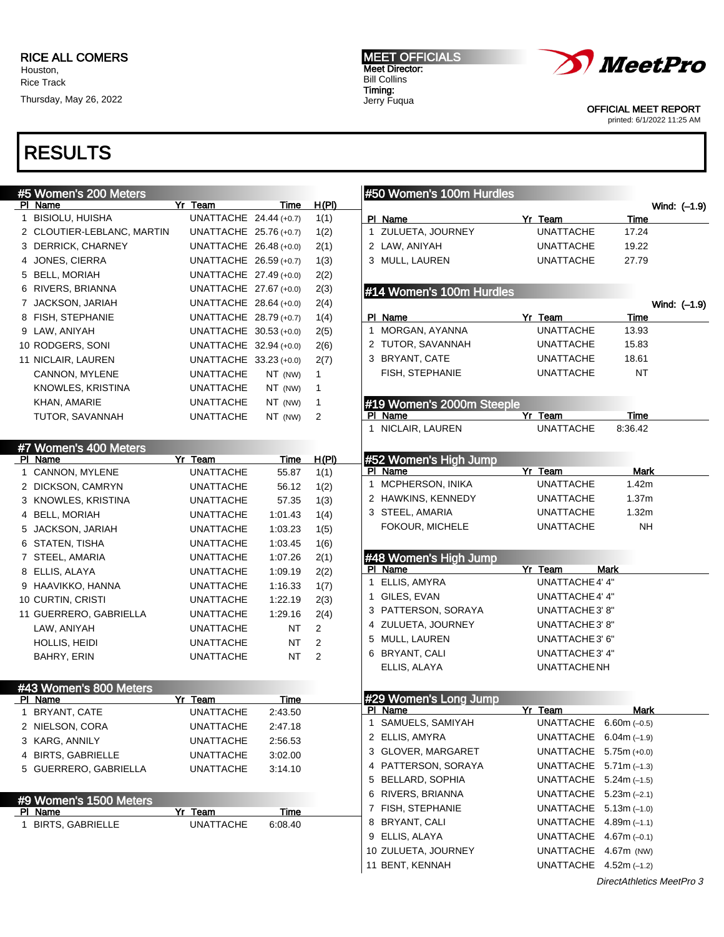# RESULTS

| #5 Women's 200 Meters      |                        |             |              |   | #50 Women's 100m Hurdles         |                             |                   |              |
|----------------------------|------------------------|-------------|--------------|---|----------------------------------|-----------------------------|-------------------|--------------|
| PI Name                    | Yr Team                | Time        | <u>H(PI)</u> |   |                                  |                             |                   | Wind: (-1.9) |
| 1 BISIOLU, HUISHA          | UNATTACHE 24.44 (+0.7) |             | 1(1)         |   | PI Name                          | Yr Team                     | Time              |              |
| 2 CLOUTIER-LEBLANC, MARTIN | UNATTACHE 25.76 (+0.7) |             | 1(2)         |   | 1 ZULUETA, JOURNEY               | <b>UNATTACHE</b>            | 17.24             |              |
| 3 DERRICK, CHARNEY         | UNATTACHE 26.48 (+0.0) |             | 2(1)         |   | 2 LAW, ANIYAH                    | <b>UNATTACHE</b>            | 19.22             |              |
| 4 JONES, CIERRA            | UNATTACHE 26.59 (+0.7) |             | 1(3)         |   | 3 MULL, LAUREN                   | <b>UNATTACHE</b>            | 27.79             |              |
| 5 BELL, MORIAH             | UNATTACHE 27.49 (+0.0) |             | 2(2)         |   |                                  |                             |                   |              |
| 6 RIVERS, BRIANNA          | UNATTACHE 27.67 (+0.0) |             | 2(3)         |   | #14 Women's 100m Hurdles         |                             |                   |              |
| 7 JACKSON, JARIAH          | UNATTACHE 28.64 (+0.0) |             | 2(4)         |   |                                  |                             |                   | Wind: (-1.9) |
| 8 FISH, STEPHANIE          | UNATTACHE 28.79 (+0.7) |             | 1(4)         |   | PI Name                          | Yr Team                     | Time              |              |
| 9 LAW, ANIYAH              | UNATTACHE 30.53 (+0.0) |             | 2(5)         |   | 1 MORGAN, AYANNA                 | <b>UNATTACHE</b>            | 13.93             |              |
| 10 RODGERS, SONI           | UNATTACHE 32.94 (+0.0) |             | 2(6)         |   | 2 TUTOR, SAVANNAH                | <b>UNATTACHE</b>            | 15.83             |              |
| 11 NICLAIR, LAUREN         | UNATTACHE 33.23 (+0.0) |             | 2(7)         |   | 3 BRYANT, CATE                   | <b>UNATTACHE</b>            | 18.61             |              |
| CANNON, MYLENE             | <b>UNATTACHE</b>       | NT (NW)     | $\mathbf{1}$ |   | FISH, STEPHANIE                  | <b>UNATTACHE</b>            | NT                |              |
| KNOWLES, KRISTINA          | <b>UNATTACHE</b>       | NT (NW)     | $\mathbf{1}$ |   |                                  |                             |                   |              |
| KHAN, AMARIE               | <b>UNATTACHE</b>       | NT (NW)     | $\mathbf{1}$ |   | #19 Women's 2000m Steeple        |                             |                   |              |
| TUTOR, SAVANNAH            | <b>UNATTACHE</b>       | NT (NW)     | 2            |   | PI Name                          | Yr Team                     | <b>Time</b>       |              |
|                            |                        |             |              |   | 1 NICLAIR, LAUREN                | <b>UNATTACHE</b>            | 8:36.42           |              |
| #7 Women's 400 Meters      |                        |             |              |   |                                  |                             |                   |              |
| PI Name                    | Yr Team                | Time        | H(PI)        |   | #52 Women's High Jump            |                             |                   |              |
| 1 CANNON, MYLENE           | <b>UNATTACHE</b>       | 55.87       | 1(1)         |   | PI Name<br>1 MCPHERSON, INIKA    | Yr Team<br><b>UNATTACHE</b> | Mark<br>1.42m     |              |
| 2 DICKSON, CAMRYN          | <b>UNATTACHE</b>       | 56.12       | 1(2)         |   | 2 HAWKINS, KENNEDY               | <b>UNATTACHE</b>            | 1.37 <sub>m</sub> |              |
| 3 KNOWLES, KRISTINA        | <b>UNATTACHE</b>       | 57.35       | 1(3)         |   | 3 STEEL, AMARIA                  | <b>UNATTACHE</b>            | 1.32m             |              |
| 4 BELL, MORIAH             | <b>UNATTACHE</b>       | 1:01.43     | 1(4)         |   | FOKOUR, MICHELE                  | <b>UNATTACHE</b>            | <b>NH</b>         |              |
| 5 JACKSON, JARIAH          | <b>UNATTACHE</b>       | 1:03.23     | 1(5)         |   |                                  |                             |                   |              |
| 6 STATEN, TISHA            | <b>UNATTACHE</b>       | 1:03.45     | 1(6)         |   |                                  |                             |                   |              |
| 7 STEEL, AMARIA            | UNATTACHE              | 1:07.26     | 2(1)         |   | #48 Women's High Jump<br>PI Name | Yr Team                     | <b>Mark</b>       |              |
| 8 ELLIS, ALAYA             | UNATTACHE              | 1:09.19     | 2(2)         |   | 1 ELLIS, AMYRA                   | <b>UNATTACHE 4' 4"</b>      |                   |              |
| 9 HAAVIKKO, HANNA          | UNATTACHE              | 1:16.33     | 1(7)         |   | 1 GILES, EVAN                    | UNATTACHE 4' 4"             |                   |              |
| 10 CURTIN, CRISTI          | UNATTACHE              | 1:22.19     | 2(3)         |   | 3 PATTERSON, SORAYA              | UNATTACHE 3' 8"             |                   |              |
| 11 GUERRERO, GABRIELLA     | UNATTACHE              | 1:29.16     | 2(4)         |   | 4 ZULUETA, JOURNEY               | UNATTACHE 3' 8"             |                   |              |
| LAW, ANIYAH                | UNATTACHE              | <b>NT</b>   | 2            |   | 5 MULL, LAUREN                   | UNATTACHE 3' 6"             |                   |              |
| HOLLIS, HEIDI              | <b>UNATTACHE</b>       | <b>NT</b>   | 2            |   | 6 BRYANT, CALI                   | <b>UNATTACHE 3' 4"</b>      |                   |              |
| BAHRY, ERIN                | <b>UNATTACHE</b>       | <b>NT</b>   | 2            |   | ELLIS, ALAYA                     | UNATTACHE NH                |                   |              |
|                            |                        |             |              |   |                                  |                             |                   |              |
| #43 Women's 800 Meters     |                        |             |              |   |                                  |                             |                   |              |
| PI Name                    | Yr Team                | Time        |              |   | #29 Women's Long Jump<br>PI Name | Yr Team                     | Mark              |              |
| 1 BRYANT, CATE             | <b>UNATTACHE</b>       | 2:43.50     |              | 1 | SAMUELS, SAMIYAH                 | UNATTACHE $6.60m$ (-0.5)    |                   |              |
| 2 NIELSON, CORA            | <b>UNATTACHE</b>       | 2:47.18     |              |   | 2 ELLIS, AMYRA                   | UNATTACHE $6.04m (-1.9)$    |                   |              |
| 3 KARG, ANNILY             | <b>UNATTACHE</b>       | 2:56.53     |              |   | 3 GLOVER, MARGARET               | UNATTACHE $5.75m (+0.0)$    |                   |              |
| 4 BIRTS, GABRIELLE         | <b>UNATTACHE</b>       | 3:02.00     |              |   | 4 PATTERSON, SORAYA              | UNATTACHE $5.71$ m (-1.3)   |                   |              |
| 5 GUERRERO, GABRIELLA      | <b>UNATTACHE</b>       | 3:14.10     |              |   | 5 BELLARD, SOPHIA                | UNATTACHE $5.24m (-1.5)$    |                   |              |
|                            |                        |             |              |   | 6 RIVERS, BRIANNA                | UNATTACHE $5.23m (-2.1)$    |                   |              |
| #9 Women's 1500 Meters     |                        |             |              |   | 7 FISH, STEPHANIE                | UNATTACHE $5.13m (-1.0)$    |                   |              |
| <u>PI Name</u>             | <u>Yr Team</u>         | <b>Time</b> |              | 8 | BRYANT, CALI                     | UNATTACHE $4.89m (-1.1)$    |                   |              |
| 1 BIRTS, GABRIELLE         | <b>UNATTACHE</b>       | 6:08.40     |              | 9 | ELLIS, ALAYA                     | UNATTACHE $4.67m (-0.1)$    |                   |              |
|                            |                        |             |              |   | 10 ZULUETA, JOURNEY              | UNATTACHE 4.67m (NW)        |                   |              |
|                            |                        |             |              |   | 11 BENT, KENNAH                  | UNATTACHE $4.52m (-1.2)$    |                   |              |
|                            |                        |             |              |   |                                  |                             |                   |              |



Meet Director: Bill Collins Timing: Jerry Fuqua

MEET OFFICIALS

OFFICIAL MEET REPORT

printed: 6/1/2022 11:25 AM